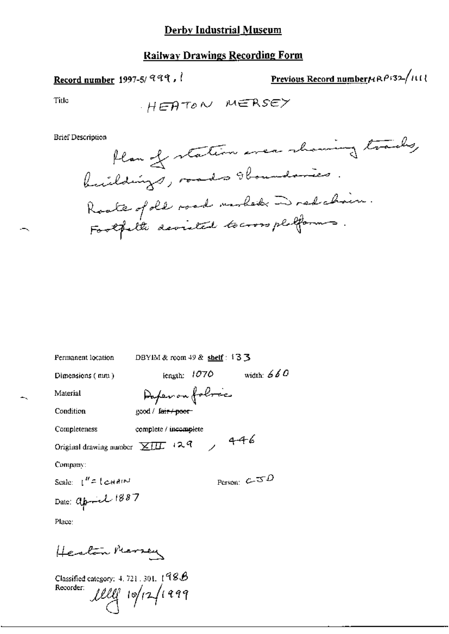## **Railway Drawings Recording Form**

## Record number 1997-5/999,

Previous Record numberNRP132/III

Title

$$
H\in\bigoplus\mathcal{T}\circ\mathcal{N}\quad\text{M}\in\mathsf{RS}\in\mathsf{M}
$$

**Brief Description** 

| Permanent location                                      | DBYIM & room $49$ & shelf: $13$ 3         |  |  |  |
|---------------------------------------------------------|-------------------------------------------|--|--|--|
| Dimensions (mm)                                         | width: $660$<br>length: 1070              |  |  |  |
| Material                                                | Daperon folocies                          |  |  |  |
| Condition                                               | good / fai <del>r / poor</del> -          |  |  |  |
| Completeness                                            | complete / incomplete                     |  |  |  |
| 146<br>Original drawing number $\chi_{\text{III}}$ +2.9 |                                           |  |  |  |
| Company:                                                |                                           |  |  |  |
| Scale: $t'' = t e^{H A t M}$                            | Person: $c_{\overline{z}} s \overline{z}$ |  |  |  |
| Date: april 1887                                        |                                           |  |  |  |
| Place:                                                  |                                           |  |  |  |

Herton Mersey

Classified category: 4, 721, 301,  $198B$ Recorder:  $1111$  10/12/1999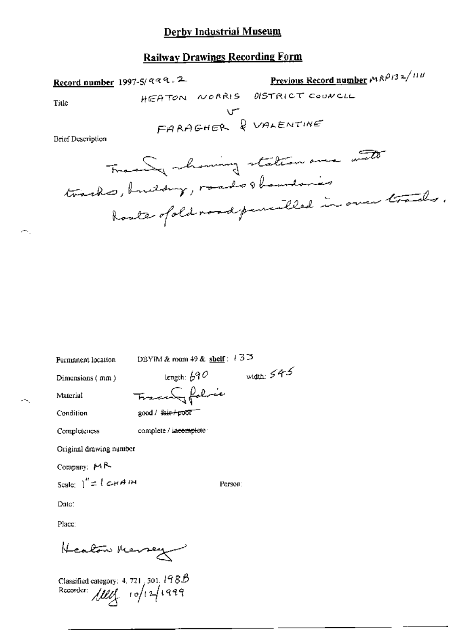### **Railway Drawings Recording Form**

Previous Record number  $MRP/32^{111}$ Record number 1997-5/ aaa. 2 HEATON NORRIS DISTRICT COUNCIL Title U VALENTINE **Brief Description** Tracely chancing station are with tracks, building, rando obamdances Roate of old road pencilled in over trades.

width:  $545$ 

Person:

Permanent location

DBYIM & room 49 & shelf:  $133$ 

Dimensions (mm)

length:  $\cancel{b}$ 90 Tracery folice

complete / incomplete

Condition

Material

good / fair-poor

Completeness

Original drawing number

Company:  $M<sup>R</sup>$ 

Scale:  $1'' = 1$  card in

Date:

Place:

Healon Mersey

Classified category: 4, 721, 301,  $198B$ Recorder:  $III(101999)$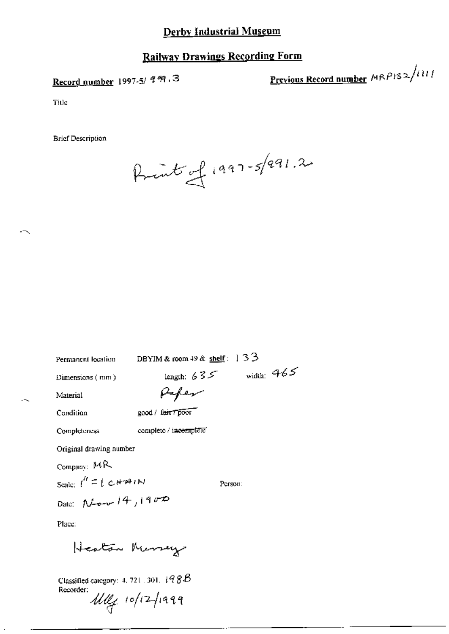## **Railway Drawings Recording Form**

## Record number 1997-5/ 999.3

Previous Record number  $MRP$ 132/111

Title

**Brief Description** 

Print of 1997-5/991.2

| Permanent location |  |
|--------------------|--|
|--------------------|--|

DBYIM & room 49 & shelf:  $33$ 

Dimensions (mm)

length:  $635$  width:  $965$ 

Material

Condition

good / feir / poor

Paper

complete / incomplete Completeness

Original drawing number

Company: MR

Scale:  $l'' \equiv l \text{CHHM}$ 

Person:

Date:  $N_{\text{down}}/4/1900$ 

Place:

Heaten Memay

Classified category: 4, 721, 301,  $198B$ Recorder:

 $\mathcal{U}\ell\ell_1$  10/12/1999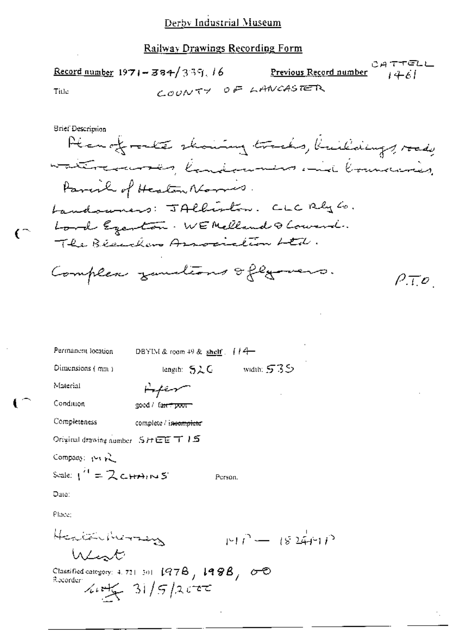|       | Record number $1971 - 384 / 339$ , 16 | <u>Previous Record number <math>\qquad \qquad \{4,6\}</math></u> | CATTELL |
|-------|---------------------------------------|------------------------------------------------------------------|---------|
| Title |                                       | COUNTY OF LANCASTER                                              |         |

Srief Description

 $\mathfrak{c}^{\mathbb{C}}$ 

Plan of rocke showing tracks, buildings, road, watercourses, landswins and boundaries, Parcil of Heaton Normis. Landowners: JAlliston. CLC Rly Co. Lord Egenton. WE Melland Q Lowerd. The Beachers Association Ltd. Complex zundions oflyward.  $\rho_{\mathcal{.}U}$ 

| Permanent location                                               | DBYIM & room 49 & shelf $\left  \right $ $\left  \right $ $\left  \right $ |         |              |                   |
|------------------------------------------------------------------|----------------------------------------------------------------------------|---------|--------------|-------------------|
| Dimensions $(mn)$                                                | length: $52C$                                                              |         | - width: 535 |                   |
| Material                                                         | سيستبطينها                                                                 |         |              |                   |
| Condition                                                        | good / fa <del>nt poor -</del>                                             |         |              |                   |
| Completeness                                                     | complete / is <del>eomplete</del>                                          |         |              |                   |
| Original drawing number $S \cup \overline{C} \subseteq T \cup S$ |                                                                            |         |              |                   |
| Company: 1-1 p2                                                  |                                                                            |         |              |                   |
| Scale: $1^{\prime 1} = 2c + m$                                   |                                                                            | Person. |              |                   |
| Date:                                                            |                                                                            |         |              |                   |
| Place:                                                           |                                                                            |         |              |                   |
| Health Morrey                                                    |                                                                            |         |              | $197 - 1824 - 12$ |
| Went                                                             |                                                                            |         |              |                   |
| Recorder:                                                        | Classified category: 4, 721-301 $(978, 1998)$<br>$X + Z = 31/5/2$          |         |              |                   |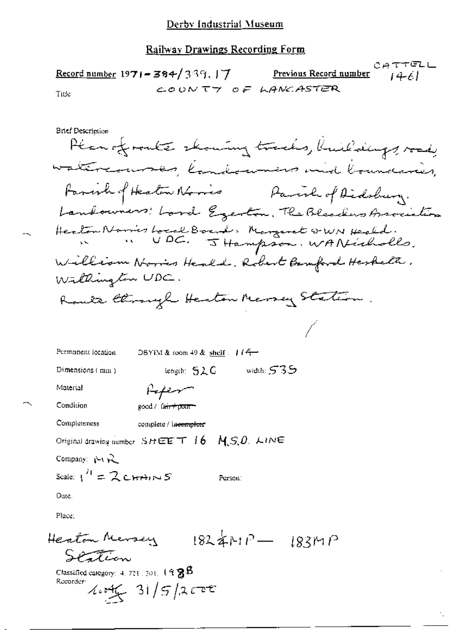|       | <u>Record number</u> 19 <b>71–384/</b> 339, J <b>7</b> . | <u>Previous Record number</u> $i \notin \mathcal{L}$ | CATTELL |
|-------|----------------------------------------------------------|------------------------------------------------------|---------|
| Title | COUNTY OF LANCASTER                                      |                                                      |         |

**Brief Description** 

Plan of route showing tracks, buildings, vod, watercourses, landowners and boundaries, Favorh of Heaton Nories Parish of Didshury. Landowners: Lord Egenton, The Blenchers Association Heaton Norries Local Board, Margaret GWN Heald. William Norris Henld, Robert Bernford Heskelt, Willington UDC. Route Chronyl Heston Messey Station.

| Permanent lecation                     | DBYIM & room $+9$ & shelf $+14$                  |              |
|----------------------------------------|--------------------------------------------------|--------------|
| Dimensions (min)                       | length: $52C$                                    | width: $535$ |
| Material                               | Refer                                            |              |
| Condition                              | good / fair+point+                               |              |
| Completeness                           | complete / incomplete                            |              |
|                                        | Original drawing number $SHEET$ 16 $M.S.D. LINE$ |              |
| Company: $\mathcal{L}_1 \mathcal{L}_2$ |                                                  |              |
| Scale: $1^H = 2$ CHTAINS               |                                                  | Person:      |
| Date.                                  |                                                  |              |
| Pince                                  |                                                  |              |

 $1824MP - 183MP$ Heaton Mersey Station Classified category:  $4.721.301.19$   $8.8$ Recorder  $4.146 - 31/5/2000$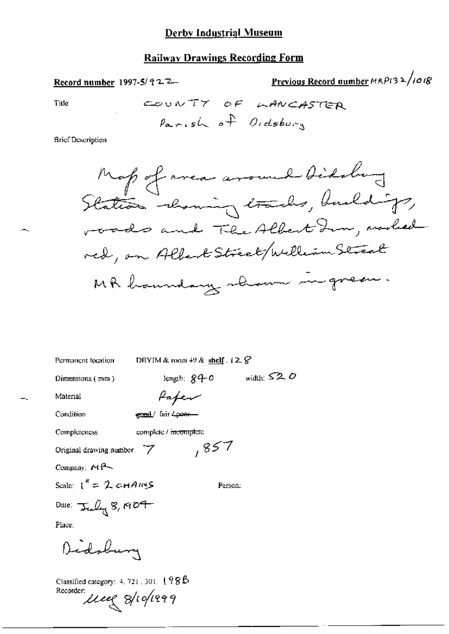#### **Railway Drawings Recording Form**

Previous Record number MRP132/1018 Record number 1997-5/ $92-7$ Title

COUNTY OF LANCASTER Parish of Oidsburg

Brief Description



width:  $\leq 2$ , O

Permanent location

DBYIM & room  $+9$  & shelf  $.12.8$ 

Dimensions (mm)

length:  $84-0$ 

Pafer

Condition

Completeness

Material

complete / incomplete

gond/ fair 4poer-

Original drawing number 7

Company:  $M$ <sup>2</sup>

Scale:  $1'' = 2$  cHAINS

Person:

,857

Date:  $\frac{1}{2}$   $\frac{1}{2}$   $\frac{1}{2}$   $\frac{1}{2}$   $\frac{1}{2}$   $\frac{1}{2}$   $\frac{1}{2}$   $\frac{1}{2}$   $\frac{1}{2}$   $\frac{1}{2}$   $\frac{1}{2}$   $\frac{1}{2}$   $\frac{1}{2}$   $\frac{1}{2}$   $\frac{1}{2}$   $\frac{1}{2}$   $\frac{1}{2}$   $\frac{1}{2}$   $\frac{1}{2}$   $\frac{1}{2}$   $\frac{1}{2}$   $\frac{1$ 

Place:

Didoluna

Classified category:  $4, 721, 301, 198B$ Recorder: use 8/10/1999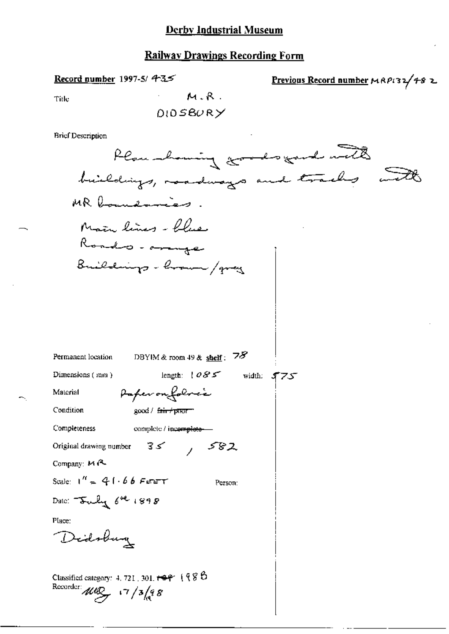#### **Railway Drawings Recording Form**

Record number 1997-5/ 4-3.5

Previous Record number MAP132/482

Title

**DIOSBURY** 

 $M.R.$ 

**Brief Description** 

Plan howing goods gard with buildings, roadways and tracks and MR boundaries. Main lines - flue Rondo - annae Buildings - how / gray Permanent location DBYIM & room 49 & shelf:  $78$ length:  $085$  width:  $575$ Dimensions (mm) Paper on folocie Material Condition  $good / f<sub>air</sub> / p<sub>T</sub>$ Completeness complete / incomplete- $35 / 582$ Original drawing number Company: MR Scale:  $1'' = 41.66$  FEET Person: Date:  $\frac{1}{2}$   $\frac{1}{2}$   $\frac{1}{2}$   $\frac{1}{2}$   $\frac{1}{2}$   $\frac{1}{2}$   $\frac{1}{2}$   $\frac{1}{2}$   $\frac{1}{2}$   $\frac{1}{2}$   $\frac{1}{2}$   $\frac{1}{2}$   $\frac{1}{2}$   $\frac{1}{2}$   $\frac{1}{2}$   $\frac{1}{2}$   $\frac{1}{2}$   $\frac{1}{2}$   $\frac{1}{2}$   $\frac{1}{2}$   $\frac{1}{2}$   $\frac{1$ Place: Didobay Classified category: 4, 721, 301,  $\leftarrow$   $\leftarrow$   $\left($   $\left\{$   $\right\}$   $\right\}$   $\left\{$   $\right\}$   $\left\{$   $\right\}$ Recorder  $\mu v \rightarrow \sqrt{3}/\sqrt{3}$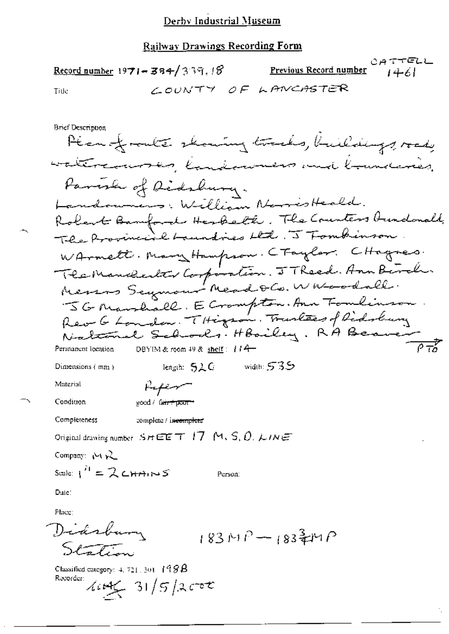|       | Record number 1971 - 384/339.18 | <u>Previous Record number</u> $\{4, 6\}$ | CATTELL |
|-------|---------------------------------|------------------------------------------|---------|
| Title |                                 | COUNTY OF LANCASTER                      |         |
|       |                                 |                                          |         |

**Brief Description** Plan fronte showing tracks, buildings, road, watercommen, landerwares and lowel Parish of Didshury. Landowners, William NarrisHeald. Robert Bamford Herbelt, The Counters Aundonald, The Provincial Laundries Ltd. J Tombinson WArmett. Manyttampson. CTaylar. CHagnes. Technomealter Corporation. J Theed. Ann Birch. 5G Mandall. E Crompton. Ann Tomlinson National Schools. Hooiley. RA Beau  $\frac{1}{\sqrt{1-\frac{1}{2}}}$ Permanent location DBYIM & room 49 & shelf:  $114$ width:  $535$ length:  $5\lambda C$ Dimensions  $\{mn\}$ Material Refere Condition good / fa<del>ir\*poor\*</del> Completeness complete / incomplete Original drawing number  $S H E E T$  17 M, S, O, LINE Company: Not W Scale:  $1^H = 2$  CHAINS Person: Date: Place: Didsbury  $183MP - 183 = MP$  $S$ la  $\mathcal{L}$ Classified category:  $4, 721, 301, 198$   $\bm{\beta}$ Recorder:  $4442 - 31/5/2$ cot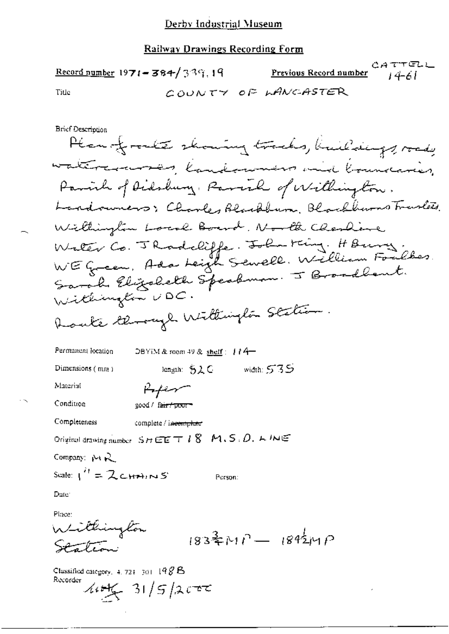|                          | Record number 1971 - 384/339.19 | <u>Previous Record number</u> $14-61$ | こんててにしに |
|--------------------------|---------------------------------|---------------------------------------|---------|
| Title                    |                                 | COUNTY OF LANCASTER                   |         |
| <b>Brief Dosprinsian</b> |                                 |                                       |         |

Plan of rocks showing tracks, kniedings, roady watercommon landerwarm and boundaries Parish of Didshung, Parish of Willington. Landouners; Charles Blackburn, Blackburns Travilets. Willington Local Board, North Charliere Water Co. J Rodcliffe. John King. H Burg.<br>WE Green, Ada Leigh Sewell. William Foulkes. Sarah Elizabeth Speakman. J Broadbant. Withington UDC. Route General Willington Station.

Permanent location DBYEM & room 49 & shelf:  $174-$ Dimensions (mm) length: S2.C vidth: 53.5 Material Hoper Condition good / fa<del>ir / poor -</del> Completeness complete / incomplete Original drawing number  $S_H \boxtimes E \top I$  8  $M.S.D.$   $L M \boxtimes$ Company: MR Scale:  $1^H = 2c$ HAINS Person: Date: Place:

Withington  $1834 \times 10 - 1842 \times 10$ نيعت استوائه

Classified category,  $4.721 - 301 - 198$  B Recorder  $445/31/5/2000$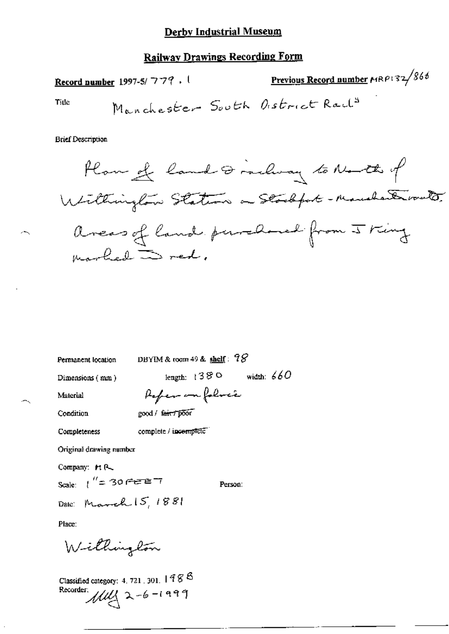## **Railway Drawings Recording Form**

Previous Record number MRP132/866 Record number 1997-5/779. Manchester South Oistrict Rail<sup>s</sup> Title

**Brief Description** 

Permanent location

DBYIM & room 49 & shelf:  $98$ 

Poper on folocie

complete / incomplete

Dimensions (mm)

length:  $1380$  width:  $660$ 

Person:

Material

Condition

good / fair / poor

Completeness

Original drawing number

Company: MR

Scale:  $\int_{0}^{H} = 30 \text{ m}^2 \text{m}^2$ 

Date: March 15, 1881

Place:

Willington

Classified category: 4, 721, 301,  $1988$ Recorder:  $11/2 - 6 - 1999$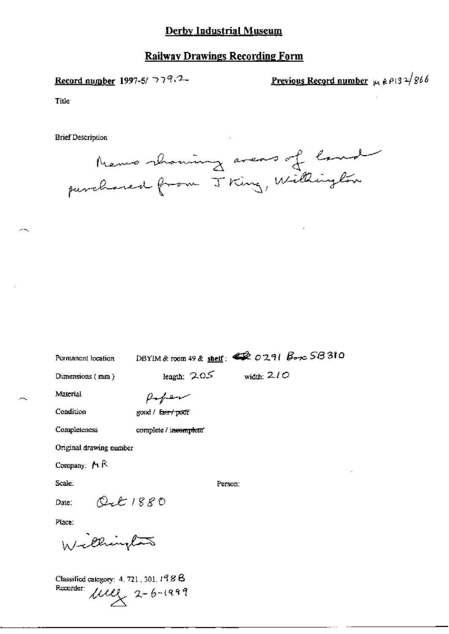## **Railway Drawings Recording Form**

Record number 1997-5/  $779.2-$ 

<u>Previous Record number</u>  $\mu$ ,  $\rho$  13  $\frac{1}{2}$  866

Title

**Brief Description** 



Permanent location

DBYIM & room 49 & shelf:  $\clubsuit\hat{\mathbb{R}}$  0291  $B_{\text{exc}}$  58310

Dimensions (mm)

length:  $205$  width:  $210$ 

Material

 $\rho$ -per  $\gcd /$   $\frac{\tan \theta}{\tan \theta}$  poor

Condition

Completeness

complete / incomplete"

Original drawing number

Company:  $M \otimes$ 

Scale:

Person:

 $Q_t t 1880$ Date:

Place:

Cecino

Classified category: 4, 721, 301, 198 B Recorder:  $\mu$ <br> $\mu$ <br> $\lambda$ <br> $2-6-1999$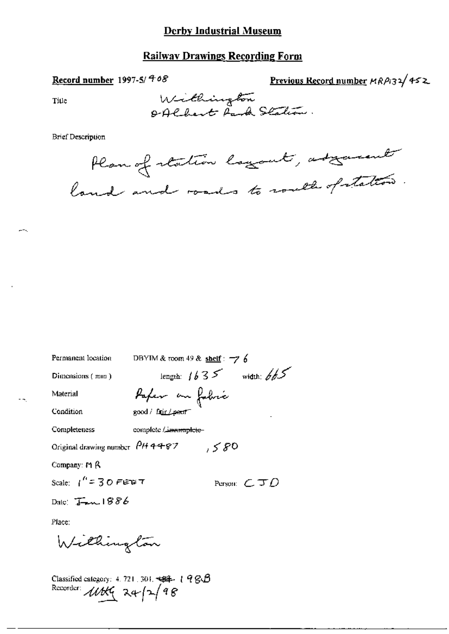### **Railway Drawings Recording Form**

Record number 1997-5/408

Previous Record number MRP132/452

Title

Willington<br>Offlbert Park Station.

#### **Brief Description**

Plan of station layout, adjourned

| Permanent location                 | DBYIM & toom 49 & shelf : $\neg$ 7 6 |
|------------------------------------|--------------------------------------|
| Dimensions (mm)                    | length: $1635$ width: $665$          |
| Material                           | Paper an fabric                      |
| Condition                          | good / fair / peor <sup>-</sup>      |
| Completeness                       | complete / inumaplete-               |
| Original drawing number $P$ H 4467 | , 580                                |
| Company: $M$ $\beta$               |                                      |
| Scale: $1'' = 30$ FETE T           | Person: $\epsilon$ J $\rho$          |
| Date: $I_{\text{max}}$ 1886        |                                      |
| Place:                             |                                      |
| Willington                         |                                      |
|                                    |                                      |

Classified category: 4.721.301. 494-198B<br>Recorder:  $\angle \angle \angle \angle \angle$  24- $\angle \angle$  98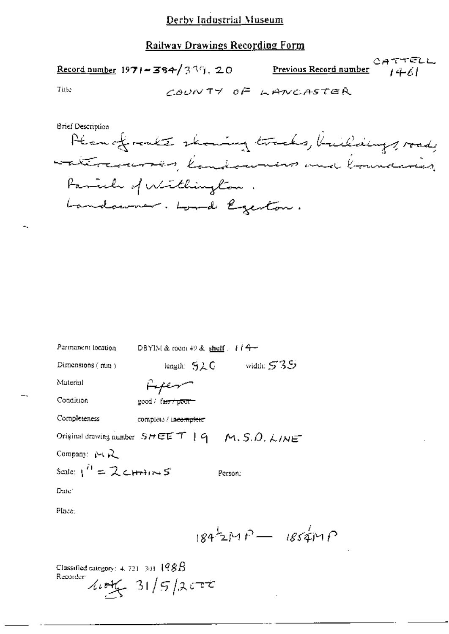CATTELL Record number  $1971 - 384 / 339$ , 20 <u>Previous Record number</u>  $1461$ 

Title

COUNTY OF LANCASTER

**Brief Description** Planofrakt skouing tracks, buildings, road, antercourses, landounas and loundaries Family of Withington. Landaumer. Lond Egenton.

| Permanent location       | DBYIM & room 49 & shelf $\pm i$ 4 -                         |
|--------------------------|-------------------------------------------------------------|
| Dimensions $(mn)$        | width: $535$<br>length: $52C$                               |
| Material                 | سهنهنها                                                     |
| Condition                | good / fa <del>ir / poor -</del>                            |
| Completeness             | complete / incomplete                                       |
|                          | Original drawing number $S H E E T + 9 - M$ , $S, D, L/M E$ |
| Company: $\bowtie R$     |                                                             |
| Scale: $1^H = 2$ channes | Person,                                                     |
| Date:                    |                                                             |
| Place:                   |                                                             |
|                          | $1842MP - 1854MP$                                           |

Classified category:  $+$ , 721 [301]  $198B$ Recorder:  $444 - 31/5/2$ crt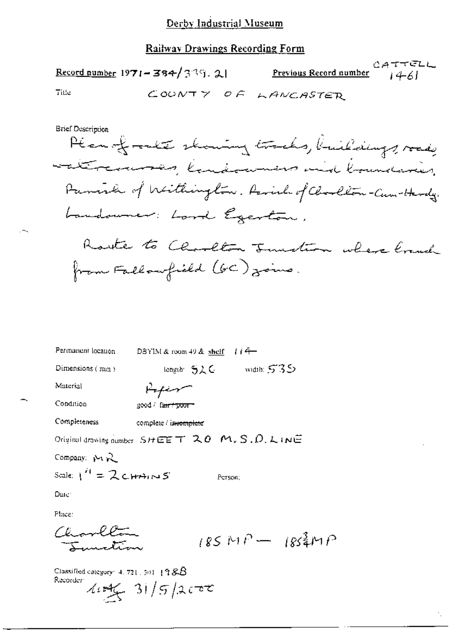## Railway Drawings Recording Form

|                         | Reco <u>rd number</u> $1971 - 384 / 339$ . 21                                                                                                                                                                                                          | Previous Record number | CATTELL<br>1461 |
|-------------------------|--------------------------------------------------------------------------------------------------------------------------------------------------------------------------------------------------------------------------------------------------------|------------------------|-----------------|
| Title                   | COUNTY OF                                                                                                                                                                                                                                              | LANCASTER              |                 |
| Brief Description       | Plan of rockte showing tracks, buildings, road,<br>attransmin, landowners and boundaries.<br>Family of Withington. Parish of Charlton-Cum-Hardy.<br>Landouner: Lord Egenton.<br>Rayte to Charlton Function where loand<br>from Fallowfield (GC) joins. |                        |                 |
| Permanent location      | $114-$<br>DBYIM & room $49$ & shelf.                                                                                                                                                                                                                   |                        |                 |
| Dimensions (mm)         | - length 与之C                                                                                                                                                                                                                                           | width: $535$           |                 |
| Material                | سهنهضها                                                                                                                                                                                                                                                |                        |                 |
| Condition               | good / fa <del>ir / poor =</del>                                                                                                                                                                                                                       |                        |                 |
| Completeness            | complete / incomplete                                                                                                                                                                                                                                  |                        |                 |
|                         | Original drawing number $S$ HEET $20$ M, S, D, LINE                                                                                                                                                                                                    |                        |                 |
| Company: MR             |                                                                                                                                                                                                                                                        |                        |                 |
| Scale: $1^H = 2$ CHAINS | Person;                                                                                                                                                                                                                                                |                        |                 |
| Date:                   |                                                                                                                                                                                                                                                        |                        |                 |
| Place:                  |                                                                                                                                                                                                                                                        |                        |                 |
| Chambrea<br>بستلمسوم    |                                                                                                                                                                                                                                                        | $185MP - 185MP$        |                 |

÷,

Classified category: 4, 721, 301,  $198B$ Recorder  $41/5/200$ 

 $\sim$